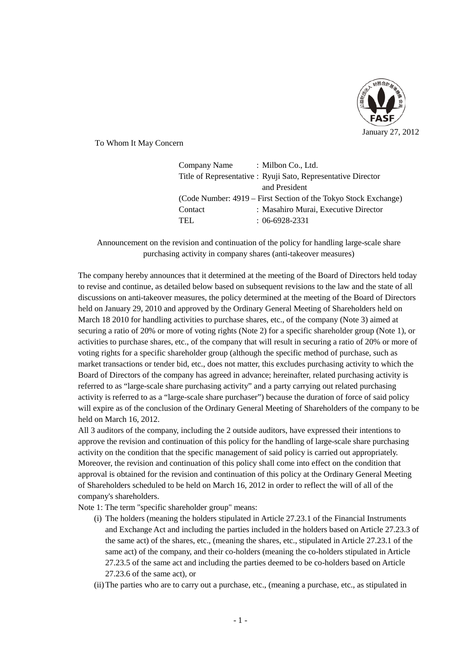

To Whom It May Concern

| Company Name                                                    | : Milbon Co., Ltd.                                            |  |
|-----------------------------------------------------------------|---------------------------------------------------------------|--|
|                                                                 | Title of Representative : Ryuji Sato, Representative Director |  |
|                                                                 | and President                                                 |  |
| (Code Number: 4919 – First Section of the Tokyo Stock Exchange) |                                                               |  |
| Contact                                                         | : Masahiro Murai, Executive Director                          |  |
| TEL.                                                            | $: 06-6928-2331$                                              |  |

Announcement on the revision and continuation of the policy for handling large-scale share purchasing activity in company shares (anti-takeover measures)

The company hereby announces that it determined at the meeting of the Board of Directors held today to revise and continue, as detailed below based on subsequent revisions to the law and the state of all discussions on anti-takeover measures, the policy determined at the meeting of the Board of Directors held on January 29, 2010 and approved by the Ordinary General Meeting of Shareholders held on March 18 2010 for handling activities to purchase shares, etc., of the company (Note 3) aimed at securing a ratio of 20% or more of voting rights (Note 2) for a specific shareholder group (Note 1), or activities to purchase shares, etc., of the company that will result in securing a ratio of 20% or more of voting rights for a specific shareholder group (although the specific method of purchase, such as market transactions or tender bid, etc., does not matter, this excludes purchasing activity to which the Board of Directors of the company has agreed in advance; hereinafter, related purchasing activity is referred to as "large-scale share purchasing activity" and a party carrying out related purchasing activity is referred to as a "large-scale share purchaser") because the duration of force of said policy will expire as of the conclusion of the Ordinary General Meeting of Shareholders of the company to be held on March 16, 2012.

All 3 auditors of the company, including the 2 outside auditors, have expressed their intentions to approve the revision and continuation of this policy for the handling of large-scale share purchasing activity on the condition that the specific management of said policy is carried out appropriately. Moreover, the revision and continuation of this policy shall come into effect on the condition that approval is obtained for the revision and continuation of this policy at the Ordinary General Meeting of Shareholders scheduled to be held on March 16, 2012 in order to reflect the will of all of the company's shareholders.

Note 1: The term "specific shareholder group" means:

- (i) The holders (meaning the holders stipulated in Article 27.23.1 of the Financial Instruments and Exchange Act and including the parties included in the holders based on Article 27.23.3 of the same act) of the shares, etc., (meaning the shares, etc., stipulated in Article 27.23.1 of the same act) of the company, and their co-holders (meaning the co-holders stipulated in Article 27.23.5 of the same act and including the parties deemed to be co-holders based on Article 27.23.6 of the same act), or
- (ii)The parties who are to carry out a purchase, etc., (meaning a purchase, etc., as stipulated in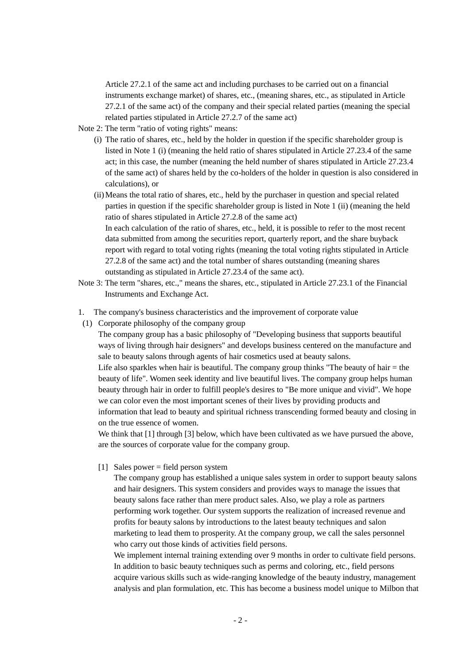Article 27.2.1 of the same act and including purchases to be carried out on a financial instruments exchange market) of shares, etc., (meaning shares, etc., as stipulated in Article 27.2.1 of the same act) of the company and their special related parties (meaning the special related parties stipulated in Article 27.2.7 of the same act)

- Note 2: The term "ratio of voting rights" means:
	- (i) The ratio of shares, etc., held by the holder in question if the specific shareholder group is listed in Note 1 (i) (meaning the held ratio of shares stipulated in Article 27.23.4 of the same act; in this case, the number (meaning the held number of shares stipulated in Article 27.23.4 of the same act) of shares held by the co-holders of the holder in question is also considered in calculations), or
	- (ii)Means the total ratio of shares, etc., held by the purchaser in question and special related parties in question if the specific shareholder group is listed in Note 1 (ii) (meaning the held ratio of shares stipulated in Article 27.2.8 of the same act)

In each calculation of the ratio of shares, etc., held, it is possible to refer to the most recent data submitted from among the securities report, quarterly report, and the share buyback report with regard to total voting rights (meaning the total voting rights stipulated in Article 27.2.8 of the same act) and the total number of shares outstanding (meaning shares outstanding as stipulated in Article 27.23.4 of the same act).

- Note 3: The term "shares, etc.," means the shares, etc., stipulated in Article 27.23.1 of the Financial Instruments and Exchange Act.
- 1. The company's business characteristics and the improvement of corporate value
- (1) Corporate philosophy of the company group

The company group has a basic philosophy of "Developing business that supports beautiful ways of living through hair designers" and develops business centered on the manufacture and sale to beauty salons through agents of hair cosmetics used at beauty salons. Life also sparkles when hair is beautiful. The company group thinks "The beauty of hair  $=$  the beauty of life". Women seek identity and live beautiful lives. The company group helps human beauty through hair in order to fulfill people's desires to "Be more unique and vivid". We hope we can color even the most important scenes of their lives by providing products and information that lead to beauty and spiritual richness transcending formed beauty and closing in on the true essence of women.

We think that [1] through [3] below, which have been cultivated as we have pursued the above, are the sources of corporate value for the company group.

 $[1]$  Sales power = field person system

The company group has established a unique sales system in order to support beauty salons and hair designers. This system considers and provides ways to manage the issues that beauty salons face rather than mere product sales. Also, we play a role as partners performing work together. Our system supports the realization of increased revenue and profits for beauty salons by introductions to the latest beauty techniques and salon marketing to lead them to prosperity. At the company group, we call the sales personnel who carry out those kinds of activities field persons.

We implement internal training extending over 9 months in order to cultivate field persons. In addition to basic beauty techniques such as perms and coloring, etc., field persons acquire various skills such as wide-ranging knowledge of the beauty industry, management analysis and plan formulation, etc. This has become a business model unique to Milbon that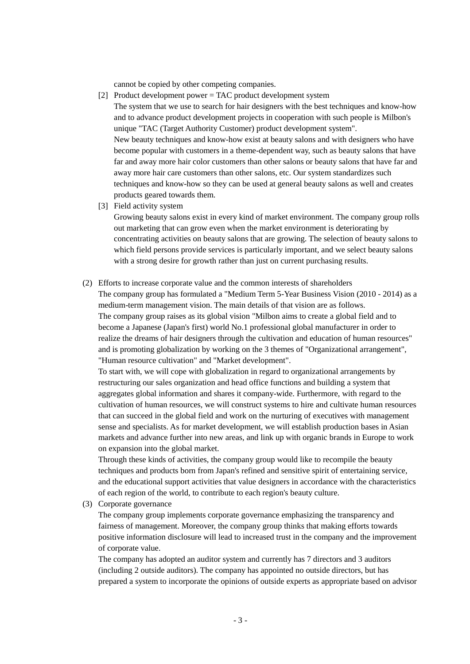cannot be copied by other competing companies.

- [2] Product development power = TAC product development system The system that we use to search for hair designers with the best techniques and know-how and to advance product development projects in cooperation with such people is Milbon's unique "TAC (Target Authority Customer) product development system". New beauty techniques and know-how exist at beauty salons and with designers who have become popular with customers in a theme-dependent way, such as beauty salons that have far and away more hair color customers than other salons or beauty salons that have far and away more hair care customers than other salons, etc. Our system standardizes such techniques and know-how so they can be used at general beauty salons as well and creates products geared towards them.
- [3] Field activity system

Growing beauty salons exist in every kind of market environment. The company group rolls out marketing that can grow even when the market environment is deteriorating by concentrating activities on beauty salons that are growing. The selection of beauty salons to which field persons provide services is particularly important, and we select beauty salons with a strong desire for growth rather than just on current purchasing results.

(2) Efforts to increase corporate value and the common interests of shareholders

The company group has formulated a "Medium Term 5-Year Business Vision (2010 - 2014) as a medium-term management vision. The main details of that vision are as follows. The company group raises as its global vision "Milbon aims to create a global field and to become a Japanese (Japan's first) world No.1 professional global manufacturer in order to realize the dreams of hair designers through the cultivation and education of human resources" and is promoting globalization by working on the 3 themes of "Organizational arrangement", "Human resource cultivation" and "Market development".

To start with, we will cope with globalization in regard to organizational arrangements by restructuring our sales organization and head office functions and building a system that aggregates global information and shares it company-wide. Furthermore, with regard to the cultivation of human resources, we will construct systems to hire and cultivate human resources that can succeed in the global field and work on the nurturing of executives with management sense and specialists. As for market development, we will establish production bases in Asian markets and advance further into new areas, and link up with organic brands in Europe to work on expansion into the global market.

Through these kinds of activities, the company group would like to recompile the beauty techniques and products born from Japan's refined and sensitive spirit of entertaining service, and the educational support activities that value designers in accordance with the characteristics of each region of the world, to contribute to each region's beauty culture.

(3) Corporate governance

The company group implements corporate governance emphasizing the transparency and fairness of management. Moreover, the company group thinks that making efforts towards positive information disclosure will lead to increased trust in the company and the improvement of corporate value.

The company has adopted an auditor system and currently has 7 directors and 3 auditors (including 2 outside auditors). The company has appointed no outside directors, but has prepared a system to incorporate the opinions of outside experts as appropriate based on advisor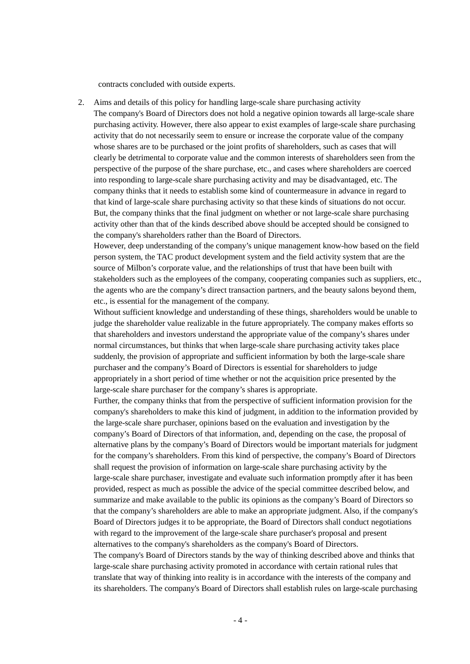contracts concluded with outside experts.

2. Aims and details of this policy for handling large-scale share purchasing activity The company's Board of Directors does not hold a negative opinion towards all large-scale share purchasing activity. However, there also appear to exist examples of large-scale share purchasing activity that do not necessarily seem to ensure or increase the corporate value of the company whose shares are to be purchased or the joint profits of shareholders, such as cases that will clearly be detrimental to corporate value and the common interests of shareholders seen from the perspective of the purpose of the share purchase, etc., and cases where shareholders are coerced into responding to large-scale share purchasing activity and may be disadvantaged, etc. The company thinks that it needs to establish some kind of countermeasure in advance in regard to that kind of large-scale share purchasing activity so that these kinds of situations do not occur. But, the company thinks that the final judgment on whether or not large-scale share purchasing activity other than that of the kinds described above should be accepted should be consigned to the company's shareholders rather than the Board of Directors.

However, deep understanding of the company's unique management know-how based on the field person system, the TAC product development system and the field activity system that are the source of Milbon's corporate value, and the relationships of trust that have been built with stakeholders such as the employees of the company, cooperating companies such as suppliers, etc., the agents who are the company's direct transaction partners, and the beauty salons beyond them, etc., is essential for the management of the company.

Without sufficient knowledge and understanding of these things, shareholders would be unable to judge the shareholder value realizable in the future appropriately. The company makes efforts so that shareholders and investors understand the appropriate value of the company's shares under normal circumstances, but thinks that when large-scale share purchasing activity takes place suddenly, the provision of appropriate and sufficient information by both the large-scale share purchaser and the company's Board of Directors is essential for shareholders to judge appropriately in a short period of time whether or not the acquisition price presented by the large-scale share purchaser for the company's shares is appropriate.

Further, the company thinks that from the perspective of sufficient information provision for the company's shareholders to make this kind of judgment, in addition to the information provided by the large-scale share purchaser, opinions based on the evaluation and investigation by the company's Board of Directors of that information, and, depending on the case, the proposal of alternative plans by the company's Board of Directors would be important materials for judgment for the company's shareholders. From this kind of perspective, the company's Board of Directors shall request the provision of information on large-scale share purchasing activity by the large-scale share purchaser, investigate and evaluate such information promptly after it has been provided, respect as much as possible the advice of the special committee described below, and summarize and make available to the public its opinions as the company's Board of Directors so that the company's shareholders are able to make an appropriate judgment. Also, if the company's Board of Directors judges it to be appropriate, the Board of Directors shall conduct negotiations with regard to the improvement of the large-scale share purchaser's proposal and present alternatives to the company's shareholders as the company's Board of Directors.

The company's Board of Directors stands by the way of thinking described above and thinks that large-scale share purchasing activity promoted in accordance with certain rational rules that translate that way of thinking into reality is in accordance with the interests of the company and its shareholders. The company's Board of Directors shall establish rules on large-scale purchasing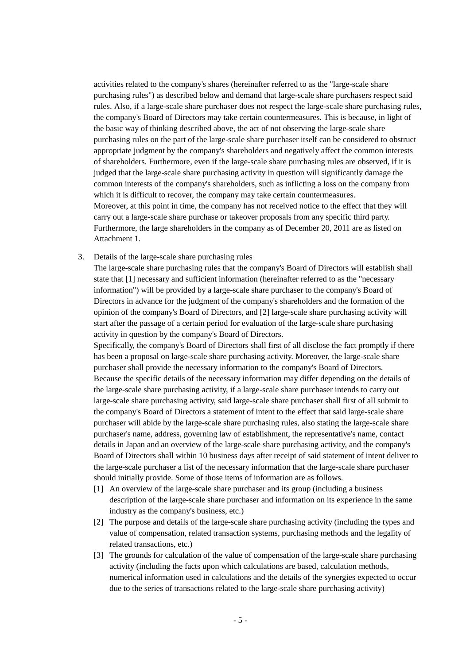activities related to the company's shares (hereinafter referred to as the "large-scale share purchasing rules") as described below and demand that large-scale share purchasers respect said rules. Also, if a large-scale share purchaser does not respect the large-scale share purchasing rules, the company's Board of Directors may take certain countermeasures. This is because, in light of the basic way of thinking described above, the act of not observing the large-scale share purchasing rules on the part of the large-scale share purchaser itself can be considered to obstruct appropriate judgment by the company's shareholders and negatively affect the common interests of shareholders. Furthermore, even if the large-scale share purchasing rules are observed, if it is judged that the large-scale share purchasing activity in question will significantly damage the common interests of the company's shareholders, such as inflicting a loss on the company from which it is difficult to recover, the company may take certain countermeasures. Moreover, at this point in time, the company has not received notice to the effect that they will carry out a large-scale share purchase or takeover proposals from any specific third party. Furthermore, the large shareholders in the company as of December 20, 2011 are as listed on Attachment 1.

3. Details of the large-scale share purchasing rules

The large-scale share purchasing rules that the company's Board of Directors will establish shall state that [1] necessary and sufficient information (hereinafter referred to as the "necessary information") will be provided by a large-scale share purchaser to the company's Board of Directors in advance for the judgment of the company's shareholders and the formation of the opinion of the company's Board of Directors, and [2] large-scale share purchasing activity will start after the passage of a certain period for evaluation of the large-scale share purchasing activity in question by the company's Board of Directors.

Specifically, the company's Board of Directors shall first of all disclose the fact promptly if there has been a proposal on large-scale share purchasing activity. Moreover, the large-scale share purchaser shall provide the necessary information to the company's Board of Directors. Because the specific details of the necessary information may differ depending on the details of the large-scale share purchasing activity, if a large-scale share purchaser intends to carry out large-scale share purchasing activity, said large-scale share purchaser shall first of all submit to the company's Board of Directors a statement of intent to the effect that said large-scale share purchaser will abide by the large-scale share purchasing rules, also stating the large-scale share purchaser's name, address, governing law of establishment, the representative's name, contact details in Japan and an overview of the large-scale share purchasing activity, and the company's Board of Directors shall within 10 business days after receipt of said statement of intent deliver to the large-scale purchaser a list of the necessary information that the large-scale share purchaser should initially provide. Some of those items of information are as follows.

- [1] An overview of the large-scale share purchaser and its group (including a business description of the large-scale share purchaser and information on its experience in the same industry as the company's business, etc.)
- [2] The purpose and details of the large-scale share purchasing activity (including the types and value of compensation, related transaction systems, purchasing methods and the legality of related transactions, etc.)
- [3] The grounds for calculation of the value of compensation of the large-scale share purchasing activity (including the facts upon which calculations are based, calculation methods, numerical information used in calculations and the details of the synergies expected to occur due to the series of transactions related to the large-scale share purchasing activity)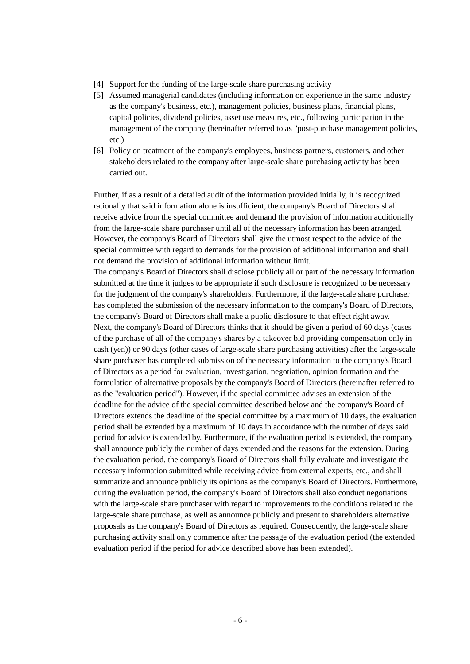- [4] Support for the funding of the large-scale share purchasing activity
- [5] Assumed managerial candidates (including information on experience in the same industry as the company's business, etc.), management policies, business plans, financial plans, capital policies, dividend policies, asset use measures, etc., following participation in the management of the company (hereinafter referred to as "post-purchase management policies, etc.)
- [6] Policy on treatment of the company's employees, business partners, customers, and other stakeholders related to the company after large-scale share purchasing activity has been carried out.

Further, if as a result of a detailed audit of the information provided initially, it is recognized rationally that said information alone is insufficient, the company's Board of Directors shall receive advice from the special committee and demand the provision of information additionally from the large-scale share purchaser until all of the necessary information has been arranged. However, the company's Board of Directors shall give the utmost respect to the advice of the special committee with regard to demands for the provision of additional information and shall not demand the provision of additional information without limit.

The company's Board of Directors shall disclose publicly all or part of the necessary information submitted at the time it judges to be appropriate if such disclosure is recognized to be necessary for the judgment of the company's shareholders. Furthermore, if the large-scale share purchaser has completed the submission of the necessary information to the company's Board of Directors, the company's Board of Directors shall make a public disclosure to that effect right away. Next, the company's Board of Directors thinks that it should be given a period of 60 days (cases of the purchase of all of the company's shares by a takeover bid providing compensation only in cash (yen)) or 90 days (other cases of large-scale share purchasing activities) after the large-scale share purchaser has completed submission of the necessary information to the company's Board of Directors as a period for evaluation, investigation, negotiation, opinion formation and the formulation of alternative proposals by the company's Board of Directors (hereinafter referred to as the "evaluation period"). However, if the special committee advises an extension of the deadline for the advice of the special committee described below and the company's Board of Directors extends the deadline of the special committee by a maximum of 10 days, the evaluation period shall be extended by a maximum of 10 days in accordance with the number of days said period for advice is extended by. Furthermore, if the evaluation period is extended, the company shall announce publicly the number of days extended and the reasons for the extension. During the evaluation period, the company's Board of Directors shall fully evaluate and investigate the necessary information submitted while receiving advice from external experts, etc., and shall summarize and announce publicly its opinions as the company's Board of Directors. Furthermore, during the evaluation period, the company's Board of Directors shall also conduct negotiations with the large-scale share purchaser with regard to improvements to the conditions related to the large-scale share purchase, as well as announce publicly and present to shareholders alternative proposals as the company's Board of Directors as required. Consequently, the large-scale share purchasing activity shall only commence after the passage of the evaluation period (the extended evaluation period if the period for advice described above has been extended).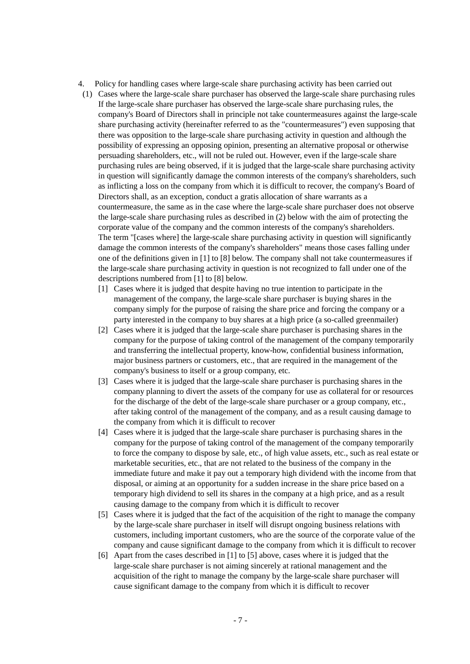- 4. Policy for handling cases where large-scale share purchasing activity has been carried out
- (1) Cases where the large-scale share purchaser has observed the large-scale share purchasing rules If the large-scale share purchaser has observed the large-scale share purchasing rules, the company's Board of Directors shall in principle not take countermeasures against the large-scale share purchasing activity (hereinafter referred to as the "countermeasures") even supposing that there was opposition to the large-scale share purchasing activity in question and although the possibility of expressing an opposing opinion, presenting an alternative proposal or otherwise persuading shareholders, etc., will not be ruled out. However, even if the large-scale share purchasing rules are being observed, if it is judged that the large-scale share purchasing activity in question will significantly damage the common interests of the company's shareholders, such as inflicting a loss on the company from which it is difficult to recover, the company's Board of Directors shall, as an exception, conduct a gratis allocation of share warrants as a countermeasure, the same as in the case where the large-scale share purchaser does not observe the large-scale share purchasing rules as described in (2) below with the aim of protecting the corporate value of the company and the common interests of the company's shareholders. The term "[cases where] the large-scale share purchasing activity in question will significantly damage the common interests of the company's shareholders" means those cases falling under one of the definitions given in [1] to [8] below. The company shall not take countermeasures if the large-scale share purchasing activity in question is not recognized to fall under one of the descriptions numbered from [1] to [8] below.
	- [1] Cases where it is judged that despite having no true intention to participate in the management of the company, the large-scale share purchaser is buying shares in the company simply for the purpose of raising the share price and forcing the company or a party interested in the company to buy shares at a high price (a so-called greenmailer)
	- [2] Cases where it is judged that the large-scale share purchaser is purchasing shares in the company for the purpose of taking control of the management of the company temporarily and transferring the intellectual property, know-how, confidential business information, major business partners or customers, etc., that are required in the management of the company's business to itself or a group company, etc.
	- [3] Cases where it is judged that the large-scale share purchaser is purchasing shares in the company planning to divert the assets of the company for use as collateral for or resources for the discharge of the debt of the large-scale share purchaser or a group company, etc., after taking control of the management of the company, and as a result causing damage to the company from which it is difficult to recover
	- [4] Cases where it is judged that the large-scale share purchaser is purchasing shares in the company for the purpose of taking control of the management of the company temporarily to force the company to dispose by sale, etc., of high value assets, etc., such as real estate or marketable securities, etc., that are not related to the business of the company in the immediate future and make it pay out a temporary high dividend with the income from that disposal, or aiming at an opportunity for a sudden increase in the share price based on a temporary high dividend to sell its shares in the company at a high price, and as a result causing damage to the company from which it is difficult to recover
	- [5] Cases where it is judged that the fact of the acquisition of the right to manage the company by the large-scale share purchaser in itself will disrupt ongoing business relations with customers, including important customers, who are the source of the corporate value of the company and cause significant damage to the company from which it is difficult to recover
	- [6] Apart from the cases described in [1] to [5] above, cases where it is judged that the large-scale share purchaser is not aiming sincerely at rational management and the acquisition of the right to manage the company by the large-scale share purchaser will cause significant damage to the company from which it is difficult to recover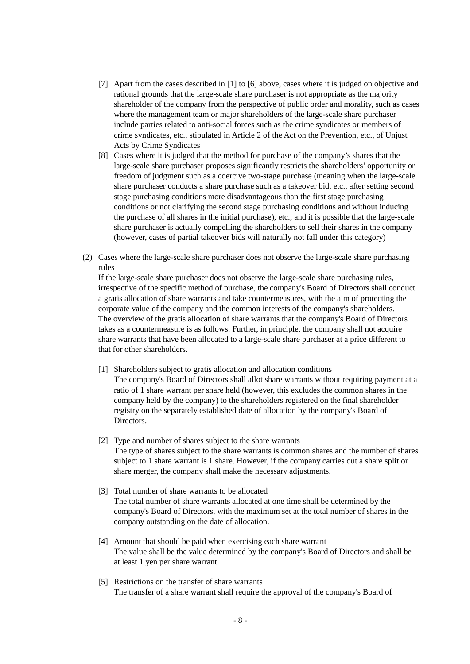- [7] Apart from the cases described in [1] to [6] above, cases where it is judged on objective and rational grounds that the large-scale share purchaser is not appropriate as the majority shareholder of the company from the perspective of public order and morality, such as cases where the management team or major shareholders of the large-scale share purchaser include parties related to anti-social forces such as the crime syndicates or members of crime syndicates, etc., stipulated in Article 2 of the Act on the Prevention, etc., of Unjust Acts by Crime Syndicates
- [8] Cases where it is judged that the method for purchase of the company's shares that the large-scale share purchaser proposes significantly restricts the shareholders' opportunity or freedom of judgment such as a coercive two-stage purchase (meaning when the large-scale share purchaser conducts a share purchase such as a takeover bid, etc., after setting second stage purchasing conditions more disadvantageous than the first stage purchasing conditions or not clarifying the second stage purchasing conditions and without inducing the purchase of all shares in the initial purchase), etc., and it is possible that the large-scale share purchaser is actually compelling the shareholders to sell their shares in the company (however, cases of partial takeover bids will naturally not fall under this category)
- (2) Cases where the large-scale share purchaser does not observe the large-scale share purchasing rules

If the large-scale share purchaser does not observe the large-scale share purchasing rules, irrespective of the specific method of purchase, the company's Board of Directors shall conduct a gratis allocation of share warrants and take countermeasures, with the aim of protecting the corporate value of the company and the common interests of the company's shareholders. The overview of the gratis allocation of share warrants that the company's Board of Directors takes as a countermeasure is as follows. Further, in principle, the company shall not acquire share warrants that have been allocated to a large-scale share purchaser at a price different to that for other shareholders.

- [1] Shareholders subject to gratis allocation and allocation conditions
	- The company's Board of Directors shall allot share warrants without requiring payment at a ratio of 1 share warrant per share held (however, this excludes the common shares in the company held by the company) to the shareholders registered on the final shareholder registry on the separately established date of allocation by the company's Board of **Directors**
- [2] Type and number of shares subject to the share warrants The type of shares subject to the share warrants is common shares and the number of shares subject to 1 share warrant is 1 share. However, if the company carries out a share split or share merger, the company shall make the necessary adjustments.
- [3] Total number of share warrants to be allocated The total number of share warrants allocated at one time shall be determined by the company's Board of Directors, with the maximum set at the total number of shares in the company outstanding on the date of allocation.
- [4] Amount that should be paid when exercising each share warrant The value shall be the value determined by the company's Board of Directors and shall be at least 1 yen per share warrant.
- [5] Restrictions on the transfer of share warrants The transfer of a share warrant shall require the approval of the company's Board of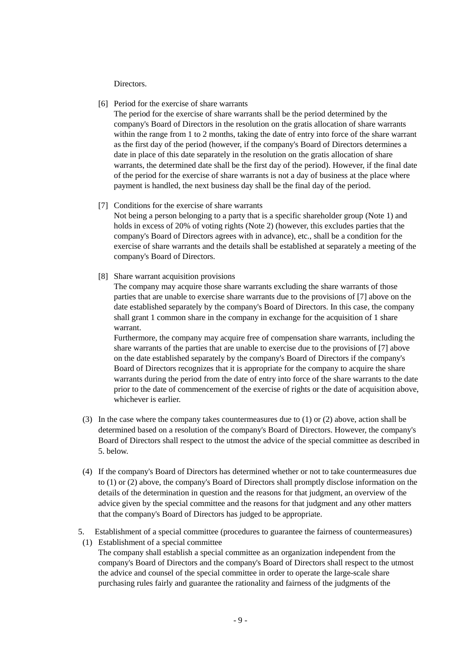**Directors** 

[6] Period for the exercise of share warrants

The period for the exercise of share warrants shall be the period determined by the company's Board of Directors in the resolution on the gratis allocation of share warrants within the range from 1 to 2 months, taking the date of entry into force of the share warrant as the first day of the period (however, if the company's Board of Directors determines a date in place of this date separately in the resolution on the gratis allocation of share warrants, the determined date shall be the first day of the period). However, if the final date of the period for the exercise of share warrants is not a day of business at the place where payment is handled, the next business day shall be the final day of the period.

[7] Conditions for the exercise of share warrants

Not being a person belonging to a party that is a specific shareholder group (Note 1) and holds in excess of 20% of voting rights (Note 2) (however, this excludes parties that the company's Board of Directors agrees with in advance), etc., shall be a condition for the exercise of share warrants and the details shall be established at separately a meeting of the company's Board of Directors.

[8] Share warrant acquisition provisions

The company may acquire those share warrants excluding the share warrants of those parties that are unable to exercise share warrants due to the provisions of [7] above on the date established separately by the company's Board of Directors. In this case, the company shall grant 1 common share in the company in exchange for the acquisition of 1 share warrant.

Furthermore, the company may acquire free of compensation share warrants, including the share warrants of the parties that are unable to exercise due to the provisions of [7] above on the date established separately by the company's Board of Directors if the company's Board of Directors recognizes that it is appropriate for the company to acquire the share warrants during the period from the date of entry into force of the share warrants to the date prior to the date of commencement of the exercise of rights or the date of acquisition above, whichever is earlier.

- (3) In the case where the company takes countermeasures due to (1) or (2) above, action shall be determined based on a resolution of the company's Board of Directors. However, the company's Board of Directors shall respect to the utmost the advice of the special committee as described in 5. below.
- (4) If the company's Board of Directors has determined whether or not to take countermeasures due to (1) or (2) above, the company's Board of Directors shall promptly disclose information on the details of the determination in question and the reasons for that judgment, an overview of the advice given by the special committee and the reasons for that judgment and any other matters that the company's Board of Directors has judged to be appropriate.
- 5. Establishment of a special committee (procedures to guarantee the fairness of countermeasures)
- (1) Establishment of a special committee The company shall establish a special committee as an organization independent from the company's Board of Directors and the company's Board of Directors shall respect to the utmost the advice and counsel of the special committee in order to operate the large-scale share purchasing rules fairly and guarantee the rationality and fairness of the judgments of the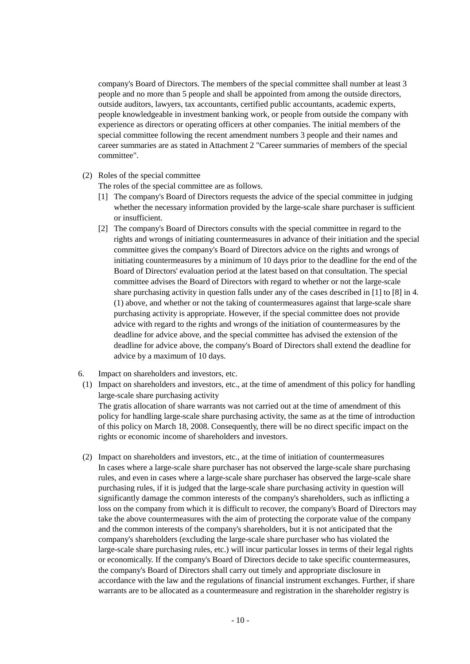company's Board of Directors. The members of the special committee shall number at least 3 people and no more than 5 people and shall be appointed from among the outside directors, outside auditors, lawyers, tax accountants, certified public accountants, academic experts, people knowledgeable in investment banking work, or people from outside the company with experience as directors or operating officers at other companies. The initial members of the special committee following the recent amendment numbers 3 people and their names and career summaries are as stated in Attachment 2 "Career summaries of members of the special committee".

(2) Roles of the special committee

The roles of the special committee are as follows.

- [1] The company's Board of Directors requests the advice of the special committee in judging whether the necessary information provided by the large-scale share purchaser is sufficient or insufficient.
- [2] The company's Board of Directors consults with the special committee in regard to the rights and wrongs of initiating countermeasures in advance of their initiation and the special committee gives the company's Board of Directors advice on the rights and wrongs of initiating countermeasures by a minimum of 10 days prior to the deadline for the end of the Board of Directors' evaluation period at the latest based on that consultation. The special committee advises the Board of Directors with regard to whether or not the large-scale share purchasing activity in question falls under any of the cases described in [1] to [8] in 4. (1) above, and whether or not the taking of countermeasures against that large-scale share purchasing activity is appropriate. However, if the special committee does not provide advice with regard to the rights and wrongs of the initiation of countermeasures by the deadline for advice above, and the special committee has advised the extension of the deadline for advice above, the company's Board of Directors shall extend the deadline for advice by a maximum of 10 days.
- 6. Impact on shareholders and investors, etc.
- (1) Impact on shareholders and investors, etc., at the time of amendment of this policy for handling large-scale share purchasing activity The gratis allocation of share warrants was not carried out at the time of amendment of this policy for handling large-scale share purchasing activity, the same as at the time of introduction of this policy on March 18, 2008. Consequently, there will be no direct specific impact on the rights or economic income of shareholders and investors.
- (2) Impact on shareholders and investors, etc., at the time of initiation of countermeasures In cases where a large-scale share purchaser has not observed the large-scale share purchasing rules, and even in cases where a large-scale share purchaser has observed the large-scale share purchasing rules, if it is judged that the large-scale share purchasing activity in question will significantly damage the common interests of the company's shareholders, such as inflicting a loss on the company from which it is difficult to recover, the company's Board of Directors may take the above countermeasures with the aim of protecting the corporate value of the company and the common interests of the company's shareholders, but it is not anticipated that the company's shareholders (excluding the large-scale share purchaser who has violated the large-scale share purchasing rules, etc.) will incur particular losses in terms of their legal rights or economically. If the company's Board of Directors decide to take specific countermeasures, the company's Board of Directors shall carry out timely and appropriate disclosure in accordance with the law and the regulations of financial instrument exchanges. Further, if share warrants are to be allocated as a countermeasure and registration in the shareholder registry is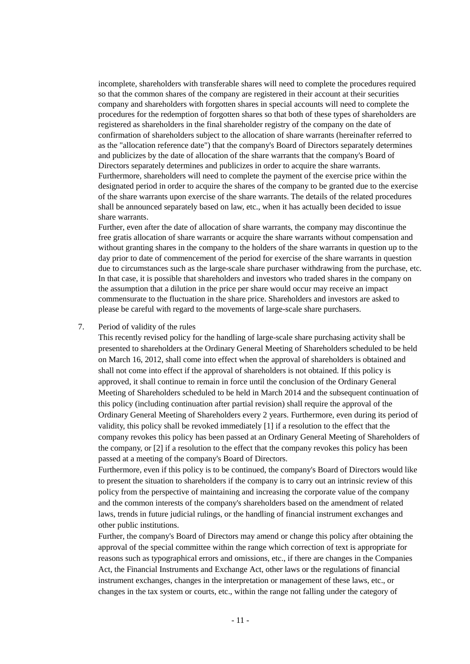incomplete, shareholders with transferable shares will need to complete the procedures required so that the common shares of the company are registered in their account at their securities company and shareholders with forgotten shares in special accounts will need to complete the procedures for the redemption of forgotten shares so that both of these types of shareholders are registered as shareholders in the final shareholder registry of the company on the date of confirmation of shareholders subject to the allocation of share warrants (hereinafter referred to as the "allocation reference date") that the company's Board of Directors separately determines and publicizes by the date of allocation of the share warrants that the company's Board of Directors separately determines and publicizes in order to acquire the share warrants. Furthermore, shareholders will need to complete the payment of the exercise price within the designated period in order to acquire the shares of the company to be granted due to the exercise of the share warrants upon exercise of the share warrants. The details of the related procedures shall be announced separately based on law, etc., when it has actually been decided to issue share warrants.

Further, even after the date of allocation of share warrants, the company may discontinue the free gratis allocation of share warrants or acquire the share warrants without compensation and without granting shares in the company to the holders of the share warrants in question up to the day prior to date of commencement of the period for exercise of the share warrants in question due to circumstances such as the large-scale share purchaser withdrawing from the purchase, etc. In that case, it is possible that shareholders and investors who traded shares in the company on the assumption that a dilution in the price per share would occur may receive an impact commensurate to the fluctuation in the share price. Shareholders and investors are asked to please be careful with regard to the movements of large-scale share purchasers.

## 7. Period of validity of the rules

This recently revised policy for the handling of large-scale share purchasing activity shall be presented to shareholders at the Ordinary General Meeting of Shareholders scheduled to be held on March 16, 2012, shall come into effect when the approval of shareholders is obtained and shall not come into effect if the approval of shareholders is not obtained. If this policy is approved, it shall continue to remain in force until the conclusion of the Ordinary General Meeting of Shareholders scheduled to be held in March 2014 and the subsequent continuation of this policy (including continuation after partial revision) shall require the approval of the Ordinary General Meeting of Shareholders every 2 years. Furthermore, even during its period of validity, this policy shall be revoked immediately [1] if a resolution to the effect that the company revokes this policy has been passed at an Ordinary General Meeting of Shareholders of the company, or [2] if a resolution to the effect that the company revokes this policy has been passed at a meeting of the company's Board of Directors.

Furthermore, even if this policy is to be continued, the company's Board of Directors would like to present the situation to shareholders if the company is to carry out an intrinsic review of this policy from the perspective of maintaining and increasing the corporate value of the company and the common interests of the company's shareholders based on the amendment of related laws, trends in future judicial rulings, or the handling of financial instrument exchanges and other public institutions.

Further, the company's Board of Directors may amend or change this policy after obtaining the approval of the special committee within the range which correction of text is appropriate for reasons such as typographical errors and omissions, etc., if there are changes in the Companies Act, the Financial Instruments and Exchange Act, other laws or the regulations of financial instrument exchanges, changes in the interpretation or management of these laws, etc., or changes in the tax system or courts, etc., within the range not falling under the category of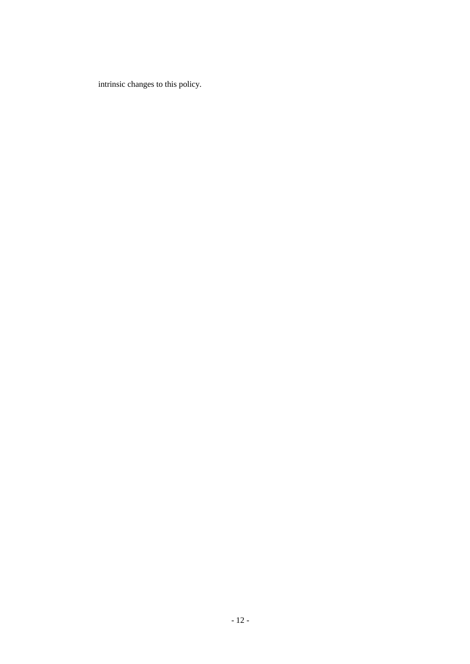intrinsic changes to this policy.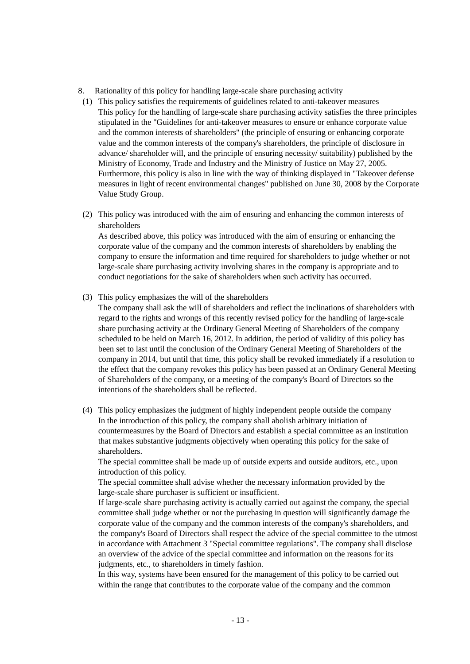- 8. Rationality of this policy for handling large-scale share purchasing activity
- (1) This policy satisfies the requirements of guidelines related to anti-takeover measures This policy for the handling of large-scale share purchasing activity satisfies the three principles stipulated in the "Guidelines for anti-takeover measures to ensure or enhance corporate value and the common interests of shareholders" (the principle of ensuring or enhancing corporate value and the common interests of the company's shareholders, the principle of disclosure in advance/ shareholder will, and the principle of ensuring necessity/ suitability) published by the Ministry of Economy, Trade and Industry and the Ministry of Justice on May 27, 2005. Furthermore, this policy is also in line with the way of thinking displayed in "Takeover defense measures in light of recent environmental changes" published on June 30, 2008 by the Corporate Value Study Group.
- (2) This policy was introduced with the aim of ensuring and enhancing the common interests of shareholders

As described above, this policy was introduced with the aim of ensuring or enhancing the corporate value of the company and the common interests of shareholders by enabling the company to ensure the information and time required for shareholders to judge whether or not large-scale share purchasing activity involving shares in the company is appropriate and to conduct negotiations for the sake of shareholders when such activity has occurred.

- (3) This policy emphasizes the will of the shareholders
	- The company shall ask the will of shareholders and reflect the inclinations of shareholders with regard to the rights and wrongs of this recently revised policy for the handling of large-scale share purchasing activity at the Ordinary General Meeting of Shareholders of the company scheduled to be held on March 16, 2012. In addition, the period of validity of this policy has been set to last until the conclusion of the Ordinary General Meeting of Shareholders of the company in 2014, but until that time, this policy shall be revoked immediately if a resolution to the effect that the company revokes this policy has been passed at an Ordinary General Meeting of Shareholders of the company, or a meeting of the company's Board of Directors so the intentions of the shareholders shall be reflected.
- (4) This policy emphasizes the judgment of highly independent people outside the company In the introduction of this policy, the company shall abolish arbitrary initiation of countermeasures by the Board of Directors and establish a special committee as an institution that makes substantive judgments objectively when operating this policy for the sake of shareholders.

The special committee shall be made up of outside experts and outside auditors, etc., upon introduction of this policy.

The special committee shall advise whether the necessary information provided by the large-scale share purchaser is sufficient or insufficient.

If large-scale share purchasing activity is actually carried out against the company, the special committee shall judge whether or not the purchasing in question will significantly damage the corporate value of the company and the common interests of the company's shareholders, and the company's Board of Directors shall respect the advice of the special committee to the utmost in accordance with Attachment 3 "Special committee regulations". The company shall disclose an overview of the advice of the special committee and information on the reasons for its judgments, etc., to shareholders in timely fashion.

In this way, systems have been ensured for the management of this policy to be carried out within the range that contributes to the corporate value of the company and the common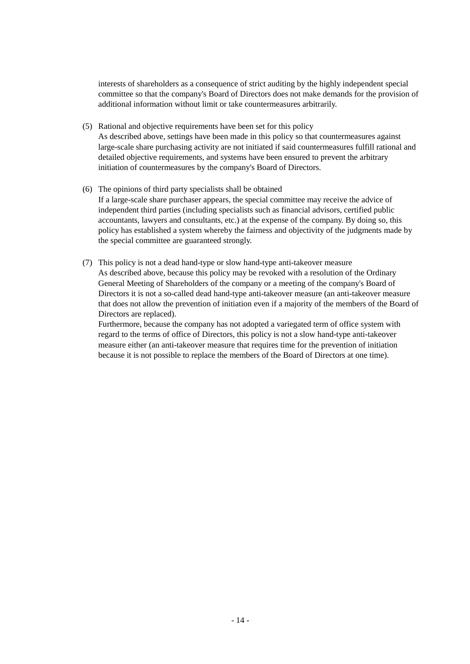interests of shareholders as a consequence of strict auditing by the highly independent special committee so that the company's Board of Directors does not make demands for the provision of additional information without limit or take countermeasures arbitrarily.

- (5) Rational and objective requirements have been set for this policy As described above, settings have been made in this policy so that countermeasures against large-scale share purchasing activity are not initiated if said countermeasures fulfill rational and detailed objective requirements, and systems have been ensured to prevent the arbitrary initiation of countermeasures by the company's Board of Directors.
- (6) The opinions of third party specialists shall be obtained If a large-scale share purchaser appears, the special committee may receive the advice of independent third parties (including specialists such as financial advisors, certified public accountants, lawyers and consultants, etc.) at the expense of the company. By doing so, this policy has established a system whereby the fairness and objectivity of the judgments made by the special committee are guaranteed strongly.
- (7) This policy is not a dead hand-type or slow hand-type anti-takeover measure As described above, because this policy may be revoked with a resolution of the Ordinary General Meeting of Shareholders of the company or a meeting of the company's Board of Directors it is not a so-called dead hand-type anti-takeover measure (an anti-takeover measure that does not allow the prevention of initiation even if a majority of the members of the Board of Directors are replaced).

Furthermore, because the company has not adopted a variegated term of office system with regard to the terms of office of Directors, this policy is not a slow hand-type anti-takeover measure either (an anti-takeover measure that requires time for the prevention of initiation because it is not possible to replace the members of the Board of Directors at one time).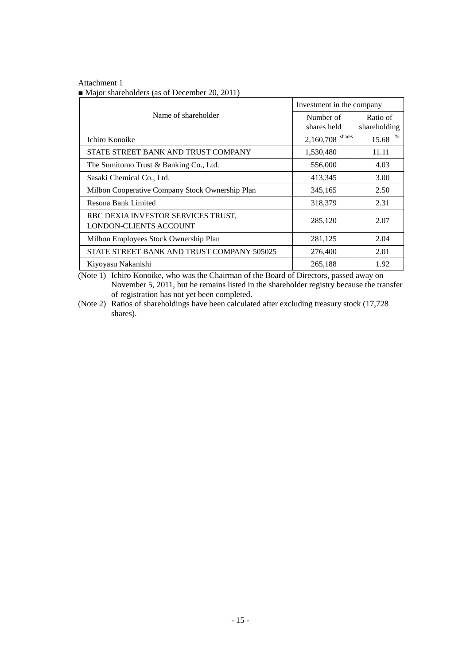| Attachment 1                                                |  |
|-------------------------------------------------------------|--|
| $\blacksquare$ Major shareholders (as of December 20, 2011) |  |

|                                                                     | Investment in the company |                          |
|---------------------------------------------------------------------|---------------------------|--------------------------|
| Name of shareholder                                                 | Number of<br>shares held  | Ratio of<br>shareholding |
| Ichiro Konoike                                                      | $2,160,708$ shares        | 15.68                    |
| STATE STREET BANK AND TRUST COMPANY                                 | 1,530,480                 | 11.11                    |
| The Sumitomo Trust & Banking Co., Ltd.                              | 556,000                   | 4.03                     |
| Sasaki Chemical Co., Ltd.                                           | 413,345                   | 3.00                     |
| Milbon Cooperative Company Stock Ownership Plan                     | 345,165                   | 2.50                     |
| Resona Bank Limited                                                 | 318,379                   | 2.31                     |
| RBC DEXIA INVESTOR SERVICES TRUST,<br><b>LONDON-CLIENTS ACCOUNT</b> | 285,120                   | 2.07                     |
| Milbon Employees Stock Ownership Plan                               | 281,125                   | 2.04                     |
| STATE STREET BANK AND TRUST COMPANY 505025                          | 276,400                   | 2.01                     |
| Kiyoyasu Nakanishi                                                  | 265,188                   | 1.92                     |

(Note 1) Ichiro Konoike, who was the Chairman of the Board of Directors, passed away on November 5, 2011, but he remains listed in the shareholder registry because the transfer of registration has not yet been completed.

(Note 2) Ratios of shareholdings have been calculated after excluding treasury stock (17,728 shares).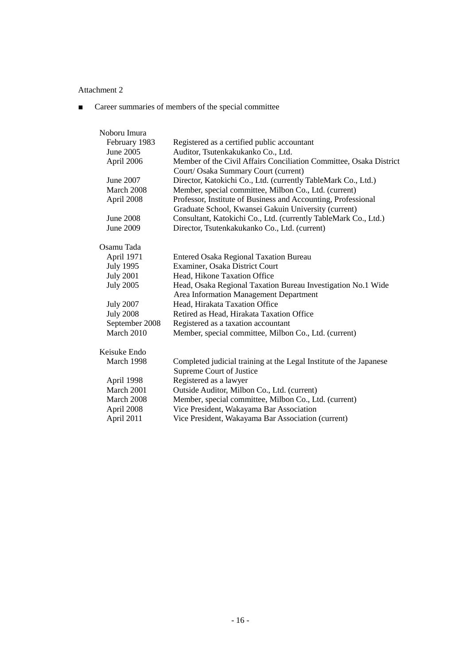■ Career summaries of members of the special committee

| Noboru Imura     |                                                                                                            |
|------------------|------------------------------------------------------------------------------------------------------------|
| February 1983    | Registered as a certified public accountant                                                                |
| June 2005        | Auditor, Tsutenkakukanko Co., Ltd.                                                                         |
| April 2006       | Member of the Civil Affairs Conciliation Committee, Osaka District<br>Court/ Osaka Summary Court (current) |
| June 2007        | Director, Katokichi Co., Ltd. (currently TableMark Co., Ltd.)                                              |
| March 2008       | Member, special committee, Milbon Co., Ltd. (current)                                                      |
| April 2008       | Professor, Institute of Business and Accounting, Professional                                              |
|                  | Graduate School, Kwansei Gakuin University (current)                                                       |
| <b>June 2008</b> | Consultant, Katokichi Co., Ltd. (currently TableMark Co., Ltd.)                                            |
| June 2009        | Director, Tsutenkakukanko Co., Ltd. (current)                                                              |
| Osamu Tada       |                                                                                                            |
|                  |                                                                                                            |
| April 1971       | <b>Entered Osaka Regional Taxation Bureau</b>                                                              |
| <b>July 1995</b> | Examiner, Osaka District Court                                                                             |
| <b>July 2001</b> | Head, Hikone Taxation Office                                                                               |
| <b>July 2005</b> | Head, Osaka Regional Taxation Bureau Investigation No.1 Wide<br>Area Information Management Department     |
| <b>July 2007</b> | Head, Hirakata Taxation Office                                                                             |
| <b>July 2008</b> | Retired as Head, Hirakata Taxation Office                                                                  |
| September 2008   | Registered as a taxation accountant                                                                        |
| March 2010       | Member, special committee, Milbon Co., Ltd. (current)                                                      |
| Keisuke Endo     |                                                                                                            |
| March 1998       | Completed judicial training at the Legal Institute of the Japanese                                         |
|                  | Supreme Court of Justice                                                                                   |
| April 1998       | Registered as a lawyer                                                                                     |
| March 2001       | Outside Auditor, Milbon Co., Ltd. (current)                                                                |
| March 2008       | Member, special committee, Milbon Co., Ltd. (current)                                                      |
| April 2008       | Vice President, Wakayama Bar Association                                                                   |
| April 2011       | Vice President, Wakayama Bar Association (current)                                                         |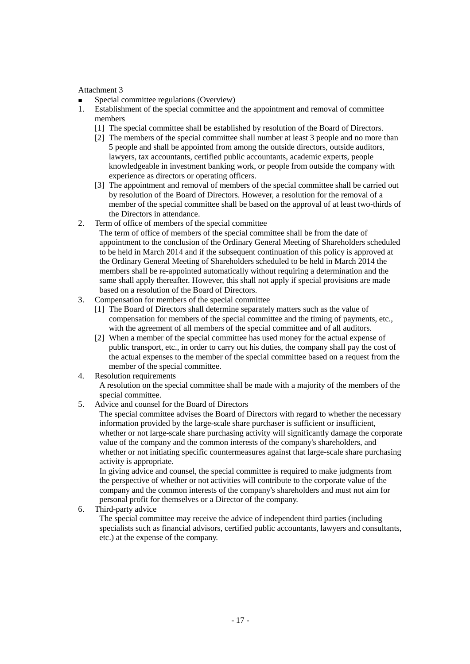- Special committee regulations (Overview)
- 1. Establishment of the special committee and the appointment and removal of committee members
	- [1] The special committee shall be established by resolution of the Board of Directors.
	- [2] The members of the special committee shall number at least 3 people and no more than 5 people and shall be appointed from among the outside directors, outside auditors, lawyers, tax accountants, certified public accountants, academic experts, people knowledgeable in investment banking work, or people from outside the company with experience as directors or operating officers.
	- [3] The appointment and removal of members of the special committee shall be carried out by resolution of the Board of Directors. However, a resolution for the removal of a member of the special committee shall be based on the approval of at least two-thirds of the Directors in attendance.
- 2. Term of office of members of the special committee
	- The term of office of members of the special committee shall be from the date of appointment to the conclusion of the Ordinary General Meeting of Shareholders scheduled to be held in March 2014 and if the subsequent continuation of this policy is approved at the Ordinary General Meeting of Shareholders scheduled to be held in March 2014 the members shall be re-appointed automatically without requiring a determination and the same shall apply thereafter. However, this shall not apply if special provisions are made based on a resolution of the Board of Directors.
- 3. Compensation for members of the special committee
	- [1] The Board of Directors shall determine separately matters such as the value of compensation for members of the special committee and the timing of payments, etc., with the agreement of all members of the special committee and of all auditors.
	- [2] When a member of the special committee has used money for the actual expense of public transport, etc., in order to carry out his duties, the company shall pay the cost of the actual expenses to the member of the special committee based on a request from the member of the special committee.
- 4. Resolution requirements

A resolution on the special committee shall be made with a majority of the members of the special committee.

5. Advice and counsel for the Board of Directors

The special committee advises the Board of Directors with regard to whether the necessary information provided by the large-scale share purchaser is sufficient or insufficient, whether or not large-scale share purchasing activity will significantly damage the corporate value of the company and the common interests of the company's shareholders, and whether or not initiating specific countermeasures against that large-scale share purchasing activity is appropriate.

In giving advice and counsel, the special committee is required to make judgments from the perspective of whether or not activities will contribute to the corporate value of the company and the common interests of the company's shareholders and must not aim for personal profit for themselves or a Director of the company.

6. Third-party advice

The special committee may receive the advice of independent third parties (including specialists such as financial advisors, certified public accountants, lawyers and consultants, etc.) at the expense of the company.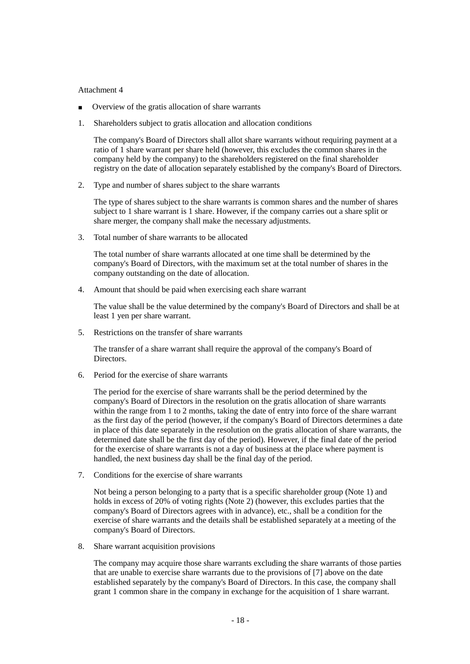- Overview of the gratis allocation of share warrants
- 1. Shareholders subject to gratis allocation and allocation conditions

The company's Board of Directors shall allot share warrants without requiring payment at a ratio of 1 share warrant per share held (however, this excludes the common shares in the company held by the company) to the shareholders registered on the final shareholder registry on the date of allocation separately established by the company's Board of Directors.

2. Type and number of shares subject to the share warrants

The type of shares subject to the share warrants is common shares and the number of shares subject to 1 share warrant is 1 share. However, if the company carries out a share split or share merger, the company shall make the necessary adjustments.

3. Total number of share warrants to be allocated

The total number of share warrants allocated at one time shall be determined by the company's Board of Directors, with the maximum set at the total number of shares in the company outstanding on the date of allocation.

4. Amount that should be paid when exercising each share warrant

The value shall be the value determined by the company's Board of Directors and shall be at least 1 yen per share warrant.

5. Restrictions on the transfer of share warrants

The transfer of a share warrant shall require the approval of the company's Board of Directors.

6. Period for the exercise of share warrants

The period for the exercise of share warrants shall be the period determined by the company's Board of Directors in the resolution on the gratis allocation of share warrants within the range from 1 to 2 months, taking the date of entry into force of the share warrant as the first day of the period (however, if the company's Board of Directors determines a date in place of this date separately in the resolution on the gratis allocation of share warrants, the determined date shall be the first day of the period). However, if the final date of the period for the exercise of share warrants is not a day of business at the place where payment is handled, the next business day shall be the final day of the period.

7. Conditions for the exercise of share warrants

Not being a person belonging to a party that is a specific shareholder group (Note 1) and holds in excess of 20% of voting rights (Note 2) (however, this excludes parties that the company's Board of Directors agrees with in advance), etc., shall be a condition for the exercise of share warrants and the details shall be established separately at a meeting of the company's Board of Directors.

8. Share warrant acquisition provisions

The company may acquire those share warrants excluding the share warrants of those parties that are unable to exercise share warrants due to the provisions of [7] above on the date established separately by the company's Board of Directors. In this case, the company shall grant 1 common share in the company in exchange for the acquisition of 1 share warrant.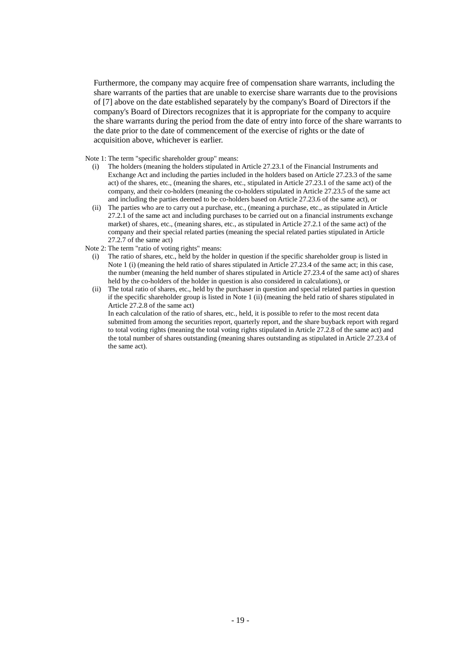Furthermore, the company may acquire free of compensation share warrants, including the share warrants of the parties that are unable to exercise share warrants due to the provisions of [7] above on the date established separately by the company's Board of Directors if the company's Board of Directors recognizes that it is appropriate for the company to acquire the share warrants during the period from the date of entry into force of the share warrants to the date prior to the date of commencement of the exercise of rights or the date of acquisition above, whichever is earlier.

Note 1: The term "specific shareholder group" means:

- (i) The holders (meaning the holders stipulated in Article 27.23.1 of the Financial Instruments and Exchange Act and including the parties included in the holders based on Article 27.23.3 of the same act) of the shares, etc., (meaning the shares, etc., stipulated in Article 27.23.1 of the same act) of the company, and their co-holders (meaning the co-holders stipulated in Article 27.23.5 of the same act and including the parties deemed to be co-holders based on Article 27.23.6 of the same act), or
- (ii) The parties who are to carry out a purchase, etc., (meaning a purchase, etc., as stipulated in Article 27.2.1 of the same act and including purchases to be carried out on a financial instruments exchange market) of shares, etc., (meaning shares, etc., as stipulated in Article 27.2.1 of the same act) of the company and their special related parties (meaning the special related parties stipulated in Article 27.2.7 of the same act)
- Note 2: The term "ratio of voting rights" means:
	- (i) The ratio of shares, etc., held by the holder in question if the specific shareholder group is listed in Note 1 (i) (meaning the held ratio of shares stipulated in Article 27.23.4 of the same act; in this case, the number (meaning the held number of shares stipulated in Article 27.23.4 of the same act) of shares held by the co-holders of the holder in question is also considered in calculations), or
	- (ii) The total ratio of shares, etc., held by the purchaser in question and special related parties in question if the specific shareholder group is listed in Note 1 (ii) (meaning the held ratio of shares stipulated in Article 27.2.8 of the same act)

In each calculation of the ratio of shares, etc., held, it is possible to refer to the most recent data submitted from among the securities report, quarterly report, and the share buyback report with regard to total voting rights (meaning the total voting rights stipulated in Article 27.2.8 of the same act) and the total number of shares outstanding (meaning shares outstanding as stipulated in Article 27.23.4 of the same act).